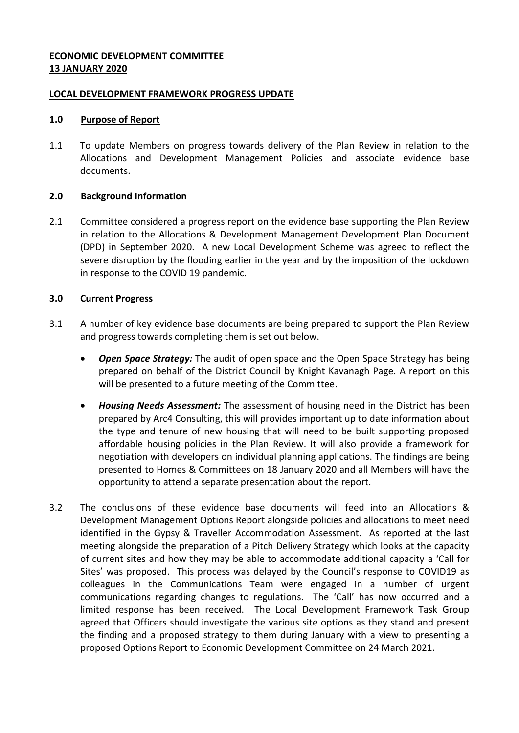## **ECONOMIC DEVELOPMENT COMMITTEE 13 JANUARY 2020**

### **LOCAL DEVELOPMENT FRAMEWORK PROGRESS UPDATE**

### **1.0 Purpose of Report**

1.1 To update Members on progress towards delivery of the Plan Review in relation to the Allocations and Development Management Policies and associate evidence base documents.

# **2.0 Background Information**

2.1 Committee considered a progress report on the evidence base supporting the Plan Review in relation to the Allocations & Development Management Development Plan Document (DPD) in September 2020. A new Local Development Scheme was agreed to reflect the severe disruption by the flooding earlier in the year and by the imposition of the lockdown in response to the COVID 19 pandemic.

# **3.0 Current Progress**

- 3.1 A number of key evidence base documents are being prepared to support the Plan Review and progress towards completing them is set out below.
	- *Open Space Strategy:* The audit of open space and the Open Space Strategy has being prepared on behalf of the District Council by Knight Kavanagh Page. A report on this will be presented to a future meeting of the Committee.
	- *Housing Needs Assessment:* The assessment of housing need in the District has been prepared by Arc4 Consulting, this will provides important up to date information about the type and tenure of new housing that will need to be built supporting proposed affordable housing policies in the Plan Review. It will also provide a framework for negotiation with developers on individual planning applications. The findings are being presented to Homes & Committees on 18 January 2020 and all Members will have the opportunity to attend a separate presentation about the report.
- 3.2 The conclusions of these evidence base documents will feed into an Allocations & Development Management Options Report alongside policies and allocations to meet need identified in the Gypsy & Traveller Accommodation Assessment. As reported at the last meeting alongside the preparation of a Pitch Delivery Strategy which looks at the capacity of current sites and how they may be able to accommodate additional capacity a 'Call for Sites' was proposed. This process was delayed by the Council's response to COVID19 as colleagues in the Communications Team were engaged in a number of urgent communications regarding changes to regulations. The 'Call' has now occurred and a limited response has been received. The Local Development Framework Task Group agreed that Officers should investigate the various site options as they stand and present the finding and a proposed strategy to them during January with a view to presenting a proposed Options Report to Economic Development Committee on 24 March 2021.